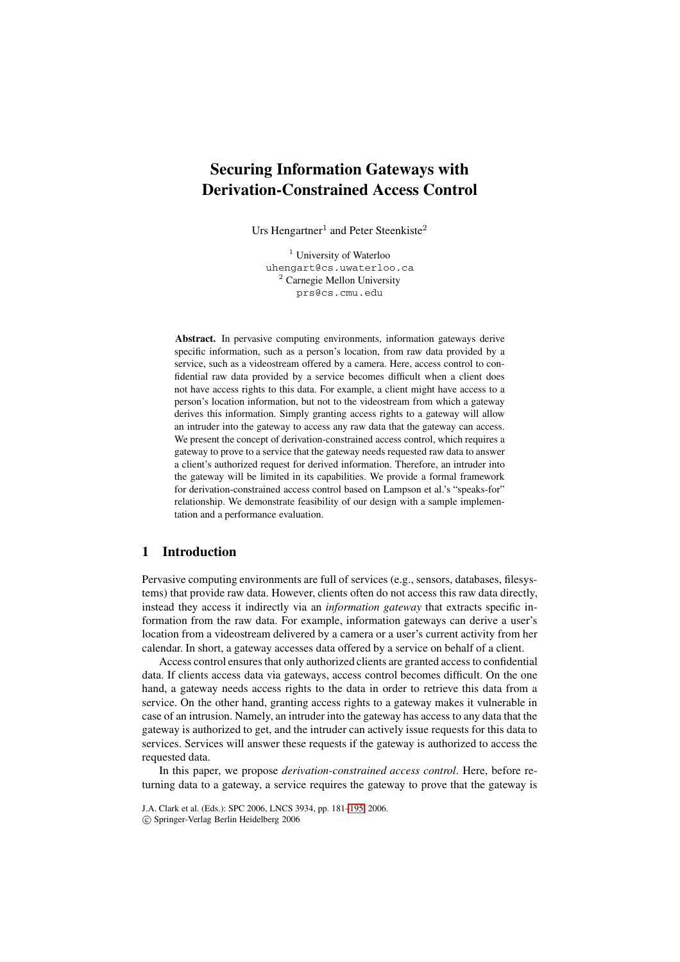# **Securing Information Gateways with Derivation-Constrained Access Control**

Urs Hengartner<sup>1</sup> and Peter Steenkiste<sup>2</sup>

<sup>1</sup> University of Waterloo uhengart@cs.uwaterloo.ca <sup>2</sup> Carnegie Mellon University prs@cs.cmu.edu

**Abstract.** In pervasive computing environments, information gateways derive specific information, such as a person's location, from raw data provided by a service, such as a videostream offered by a camera. Here, access control to confidential raw data provided by a service becomes difficult when a client does not have access rights to this data. For example, a client might have access to a person's location information, but not to the videostream from which a gateway derives this information. Simply granting access rights to a gateway will allow an intruder into the gateway to access any raw data that the gateway can access. We present the concept of derivation-constrained access control, which requires a gateway to prove to a service that the gateway needs requested raw data to answer a client's authorized request for derived information. Therefore, an intruder into the gateway will be limited in its capabilities. We provide a formal framework for derivation-constrained access control based on Lampson et al.'s "speaks-for" relationship. We demonstrate feasibility of our design with a sample implementation and a performance evaluation.

### **1 Introduction**

Pervasive computing environments are full of services (e.g., sensors, databases, filesystems) that provide raw data. However, clients often do not access this raw data directly, instead they access it indirectly via an *information gateway* that extracts specific information from the raw data. For example, information gateways can derive a user's location from a videostream delivered by a camera or a user's current activity from her calendar. In short, a gateway accesses data offered by a service on behalf of a client.

Access control ensures that only authorized clients are granted access to confidential data. If clients access data via gateways, access control becomes difficult. On the one hand, a gateway needs access rights to the data in order to retrieve this data from a service. On the other hand, granting access rights to a gateway makes it vulnerable in case of an intrusion. Namely, an intruder into the gateway has access to any data that the gateway is authorized to get, and the intruder can actively issue requests for this data to services. Services will answer these requests if the gateway is authorized to access the requested data.

In this paper, we propose *derivation-constrained access control*. Here, before returning data to a gateway, a service requires the gateway to prove that the gateway is

J.A. Clark et al. (Eds.): SPC 2006, LNCS 3934, pp. 181[–195,](#page-14-0) 2006. c Springer-Verlag Berlin Heidelberg 2006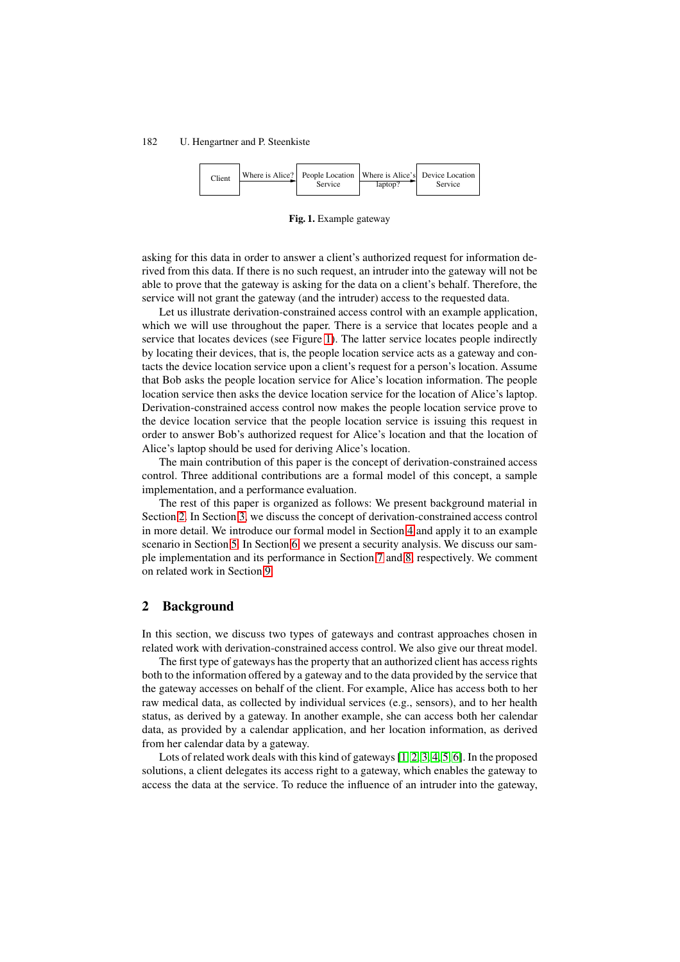

<span id="page-1-0"></span>**Fig. 1.** Example gateway

asking for this data in order to answer a client's authorized request for information derived from this data. If there is no such request, an intruder into the gateway will not be able to prove that the gateway is asking for the data on a client's behalf. Therefore, the service will not grant the gateway (and the intruder) access to the requested data.

Let us illustrate derivation-constrained access control with an example application, which we will use throughout the paper. There is a service that locates people and a service that locates devices (see Figure [1\)](#page-1-0). The latter service locates people indirectly by locating their devices, that is, the people location service acts as a gateway and contacts the device location service upon a client's request for a person's location. Assume that Bob asks the people location service for Alice's location information. The people location service then asks the device location service for the location of Alice's laptop. Derivation-constrained access control now makes the people location service prove to the device location service that the people location service is issuing this request in order to answer Bob's authorized request for Alice's location and that the location of Alice's laptop should be used for deriving Alice's location.

The main contribution of this paper is the concept of derivation-constrained access control. Three additional contributions are a formal model of this concept, a sample implementation, and a performance evaluation.

The rest of this paper is organized as follows: We present background material in Section [2.](#page-1-1) In Section [3,](#page-2-0) we discuss the concept of derivation-constrained access control in more detail. We introduce our formal model in Section [4](#page-5-0) and apply it to an example scenario in Section [5.](#page-7-0) In Section [6,](#page-9-0) we present a security analysis. We discuss our sample implementation and its performance in Section [7](#page-10-0) and [8,](#page-11-0) respectively. We comment on related work in Section [9.](#page-13-0)

### <span id="page-1-1"></span>**2 Background**

In this section, we discuss two types of gateways and contrast approaches chosen in related work with derivation-constrained access control. We also give our threat model.

The first type of gateways has the property that an authorized client has access rights both to the information offered by a gateway and to the data provided by the service that the gateway accesses on behalf of the client. For example, Alice has access both to her raw medical data, as collected by individual services (e.g., sensors), and to her health status, as derived by a gateway. In another example, she can access both her calendar data, as provided by a calendar application, and her location information, as derived from her calendar data by a gateway.

Lots of related work deals with this kind of gateways [\[1,](#page-14-1) [2,](#page-14-2) [3,](#page-14-3) [4,](#page-14-4) [5,](#page-14-5) [6\]](#page-14-6). In the proposed solutions, a client delegates its access right to a gateway, which enables the gateway to access the data at the service. To reduce the influence of an intruder into the gateway,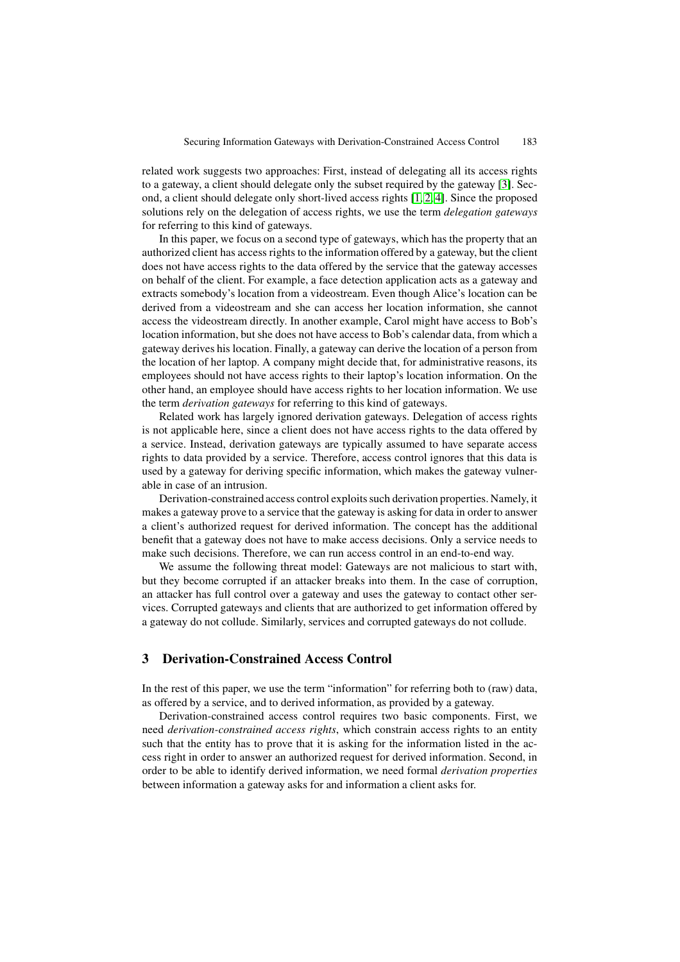related work suggests two approaches: First, instead of delegating all its access rights to a gateway, a client should delegate only the subset required by the gateway [\[3\]](#page-14-3). Second, a client should delegate only short-lived access rights [\[1,](#page-14-1) [2,](#page-14-2) [4\]](#page-14-4). Since the proposed solutions rely on the delegation of access rights, we use the term *delegation gateways* for referring to this kind of gateways.

In this paper, we focus on a second type of gateways, which has the property that an authorized client has access rights to the information offered by a gateway, but the client does not have access rights to the data offered by the service that the gateway accesses on behalf of the client. For example, a face detection application acts as a gateway and extracts somebody's location from a videostream. Even though Alice's location can be derived from a videostream and she can access her location information, she cannot access the videostream directly. In another example, Carol might have access to Bob's location information, but she does not have access to Bob's calendar data, from which a gateway derives his location. Finally, a gateway can derive the location of a person from the location of her laptop. A company might decide that, for administrative reasons, its employees should not have access rights to their laptop's location information. On the other hand, an employee should have access rights to her location information. We use the term *derivation gateways* for referring to this kind of gateways.

Related work has largely ignored derivation gateways. Delegation of access rights is not applicable here, since a client does not have access rights to the data offered by a service. Instead, derivation gateways are typically assumed to have separate access rights to data provided by a service. Therefore, access control ignores that this data is used by a gateway for deriving specific information, which makes the gateway vulnerable in case of an intrusion.

Derivation-constrained access control exploits such derivation properties. Namely, it makes a gateway prove to a service that the gateway is asking for data in order to answer a client's authorized request for derived information. The concept has the additional benefit that a gateway does not have to make access decisions. Only a service needs to make such decisions. Therefore, we can run access control in an end-to-end way.

We assume the following threat model: Gateways are not malicious to start with, but they become corrupted if an attacker breaks into them. In the case of corruption, an attacker has full control over a gateway and uses the gateway to contact other services. Corrupted gateways and clients that are authorized to get information offered by a gateway do not collude. Similarly, services and corrupted gateways do not collude.

## <span id="page-2-0"></span>**3 Derivation-Constrained Access Control**

In the rest of this paper, we use the term "information" for referring both to (raw) data, as offered by a service, and to derived information, as provided by a gateway.

Derivation-constrained access control requires two basic components. First, we need *derivation-constrained access rights*, which constrain access rights to an entity such that the entity has to prove that it is asking for the information listed in the access right in order to answer an authorized request for derived information. Second, in order to be able to identify derived information, we need formal *derivation properties* between information a gateway asks for and information a client asks for.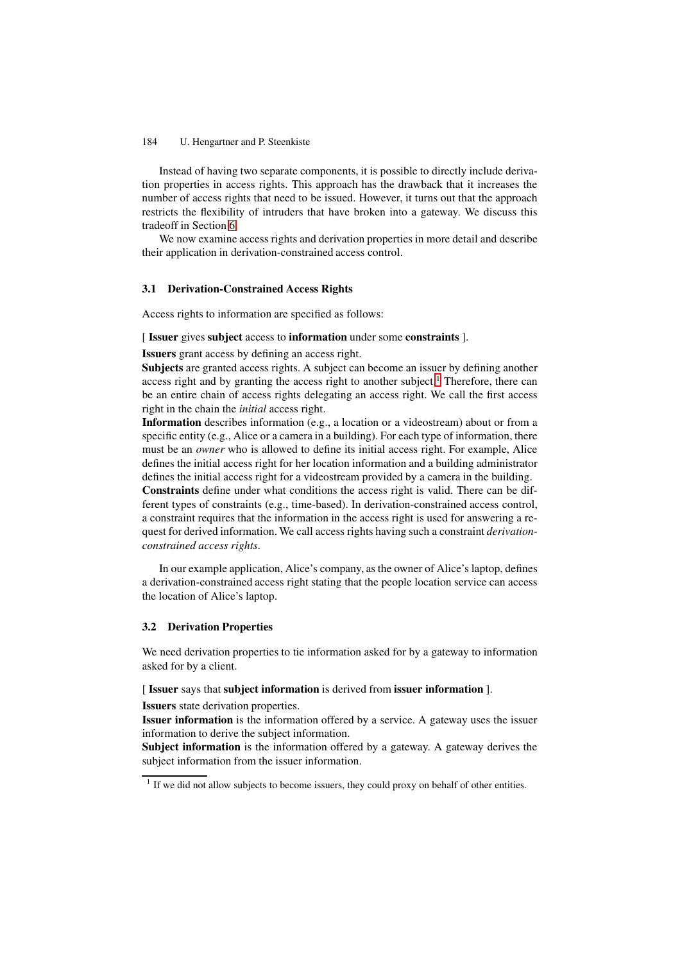Instead of having two separate components, it is possible to directly include derivation properties in access rights. This approach has the drawback that it increases the number of access rights that need to be issued. However, it turns out that the approach restricts the flexibility of intruders that have broken into a gateway. We discuss this tradeoff in Section [6.](#page-9-0)

We now examine access rights and derivation properties in more detail and describe their application in derivation-constrained access control.

### <span id="page-3-1"></span>**3.1 Derivation-Constrained Access Rights**

Access rights to information are specified as follows:

### [ **Issuer** gives **subject** access to **information** under some **constraints** ].

**Issuers** grant access by defining an access right.

**Subjects** are granted access rights. A subject can become an issuer by defining another access right and by granting the access right to another subject.<sup>[1](#page-3-0)</sup> Therefore, there can be an entire chain of access rights delegating an access right. We call the first access right in the chain the *initial* access right.

**Information** describes information (e.g., a location or a videostream) about or from a specific entity (e.g., Alice or a camera in a building). For each type of information, there must be an *owner* who is allowed to define its initial access right. For example, Alice defines the initial access right for her location information and a building administrator defines the initial access right for a videostream provided by a camera in the building. **Constraints** define under what conditions the access right is valid. There can be different types of constraints (e.g., time-based). In derivation-constrained access control, a constraint requires that the information in the access right is used for answering a request for derived information. We call access rights having such a constraint *derivationconstrained access rights*.

In our example application, Alice's company, as the owner of Alice's laptop, defines a derivation-constrained access right stating that the people location service can access the location of Alice's laptop.

#### <span id="page-3-2"></span>**3.2 Derivation Properties**

We need derivation properties to tie information asked for by a gateway to information asked for by a client.

[ **Issuer** says that **subject information** is derived from **issuer information** ].

**Issuers** state derivation properties.

**Issuer information** is the information offered by a service. A gateway uses the issuer information to derive the subject information.

**Subject information** is the information offered by a gateway. A gateway derives the subject information from the issuer information.

<span id="page-3-0"></span><sup>&</sup>lt;sup>1</sup> If we did not allow subjects to become issuers, they could proxy on behalf of other entities.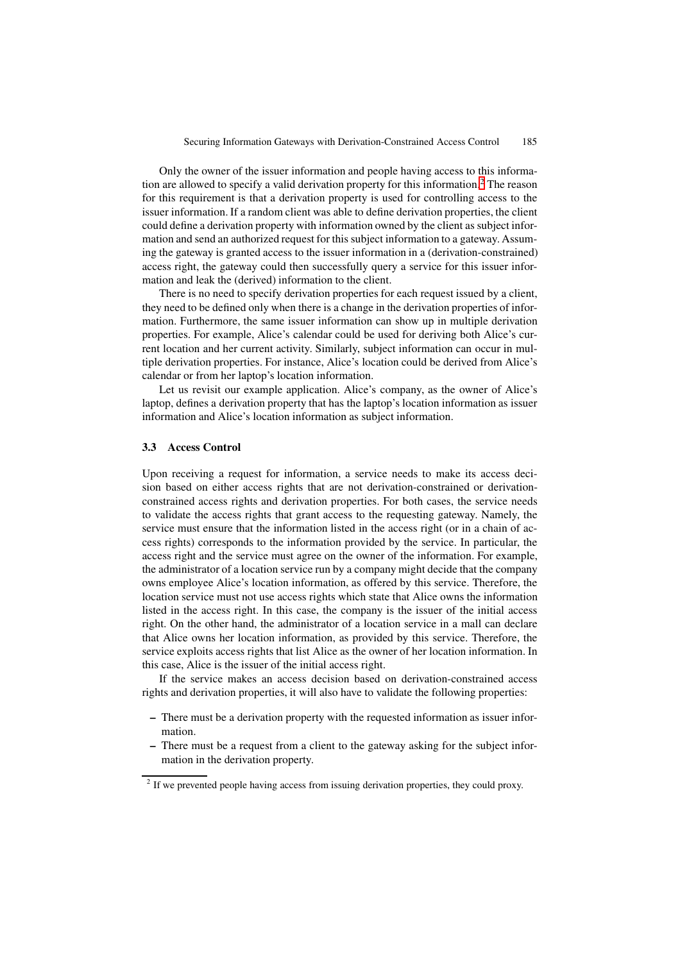Only the owner of the issuer information and people having access to this information are allowed to specify a valid derivation property for this information.[2](#page-4-0) The reason for this requirement is that a derivation property is used for controlling access to the issuer information. If a random client was able to define derivation properties, the client could define a derivation property with information owned by the client as subject information and send an authorized request for this subject information to a gateway. Assuming the gateway is granted access to the issuer information in a (derivation-constrained) access right, the gateway could then successfully query a service for this issuer information and leak the (derived) information to the client.

There is no need to specify derivation properties for each request issued by a client, they need to be defined only when there is a change in the derivation properties of information. Furthermore, the same issuer information can show up in multiple derivation properties. For example, Alice's calendar could be used for deriving both Alice's current location and her current activity. Similarly, subject information can occur in multiple derivation properties. For instance, Alice's location could be derived from Alice's calendar or from her laptop's location information.

Let us revisit our example application. Alice's company, as the owner of Alice's laptop, defines a derivation property that has the laptop's location information as issuer information and Alice's location information as subject information.

### <span id="page-4-1"></span>**3.3 Access Control**

Upon receiving a request for information, a service needs to make its access decision based on either access rights that are not derivation-constrained or derivationconstrained access rights and derivation properties. For both cases, the service needs to validate the access rights that grant access to the requesting gateway. Namely, the service must ensure that the information listed in the access right (or in a chain of access rights) corresponds to the information provided by the service. In particular, the access right and the service must agree on the owner of the information. For example, the administrator of a location service run by a company might decide that the company owns employee Alice's location information, as offered by this service. Therefore, the location service must not use access rights which state that Alice owns the information listed in the access right. In this case, the company is the issuer of the initial access right. On the other hand, the administrator of a location service in a mall can declare that Alice owns her location information, as provided by this service. Therefore, the service exploits access rights that list Alice as the owner of her location information. In this case, Alice is the issuer of the initial access right.

If the service makes an access decision based on derivation-constrained access rights and derivation properties, it will also have to validate the following properties:

- **–** There must be a derivation property with the requested information as issuer information.
- **–** There must be a request from a client to the gateway asking for the subject information in the derivation property.

<span id="page-4-0"></span><sup>&</sup>lt;sup>2</sup> If we prevented people having access from issuing derivation properties, they could proxy.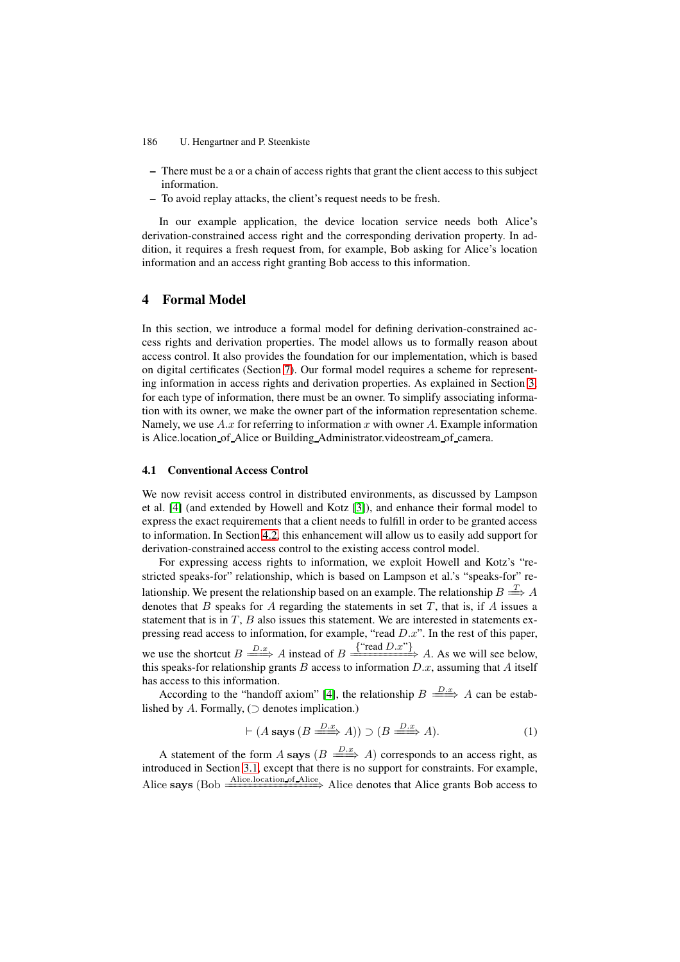- **–** There must be a or a chain of access rights that grant the client access to this subject information.
- **–** To avoid replay attacks, the client's request needs to be fresh.

In our example application, the device location service needs both Alice's derivation-constrained access right and the corresponding derivation property. In addition, it requires a fresh request from, for example, Bob asking for Alice's location information and an access right granting Bob access to this information.

# <span id="page-5-0"></span>**4 Formal Model**

In this section, we introduce a formal model for defining derivation-constrained access rights and derivation properties. The model allows us to formally reason about access control. It also provides the foundation for our implementation, which is based on digital certificates (Section [7\)](#page-10-0). Our formal model requires a scheme for representing information in access rights and derivation properties. As explained in Section [3,](#page-2-0) for each type of information, there must be an owner. To simplify associating information with its owner, we make the owner part of the information representation scheme. Namely, we use  $A.x$  for referring to information x with owner A. Example information is Alice.location of Alice or Building Administrator.videostream of camera.

#### **4.1 Conventional Access Control**

We now revisit access control in distributed environments, as discussed by Lampson et al. [\[4\]](#page-14-4) (and extended by Howell and Kotz [\[3\]](#page-14-3)), and enhance their formal model to express the exact requirements that a client needs to fulfill in order to be granted access to information. In Section [4.2,](#page-6-0) this enhancement will allow us to easily add support for derivation-constrained access control to the existing access control model.

For expressing access rights to information, we exploit Howell and Kotz's "restricted speaks-for" relationship, which is based on Lampson et al.'s "speaks-for" relationship. We present the relationship based on an example. The relationship  $B\overset{T}{\Longrightarrow}A$ denotes that  $B$  speaks for  $A$  regarding the statements in set  $T$ , that is, if  $A$  issues a statement that is in  $T$ ,  $B$  also issues this statement. We are interested in statements expressing read access to information, for example, "read  $D.x$ ". In the rest of this paper, we use the shortcut  $B \xrightarrow{D.x} A$  instead of  $B \xrightarrow{\{\text{``read } D.x\text{''}\}} A$ . As we will see below, this speaks-for relationship grants  $B$  access to information  $D.x$ , assuming that  $A$  itself has access to this information.

According to the "handoff axiom" [\[4\]](#page-14-4), the relationship  $B \stackrel{D.x}{\Longrightarrow} A$  can be established by A. Formally,  $\supset$  denotes implication.)

$$
\vdash (A \text{ says } (B \xrightarrow{D.x} A)) \supset (B \xrightarrow{D.x} A). \tag{1}
$$

<span id="page-5-1"></span>A statement of the form A says  $(B \xrightarrow{D.x} A)$  corresponds to an access right, as introduced in Section [3.1,](#page-3-1) except that there is no support for constraints. For example, Alice **says** (Bob  $\frac{\text{Alice location of Alice}}{\text{Alice}}$  Alice denotes that Alice grants Bob access to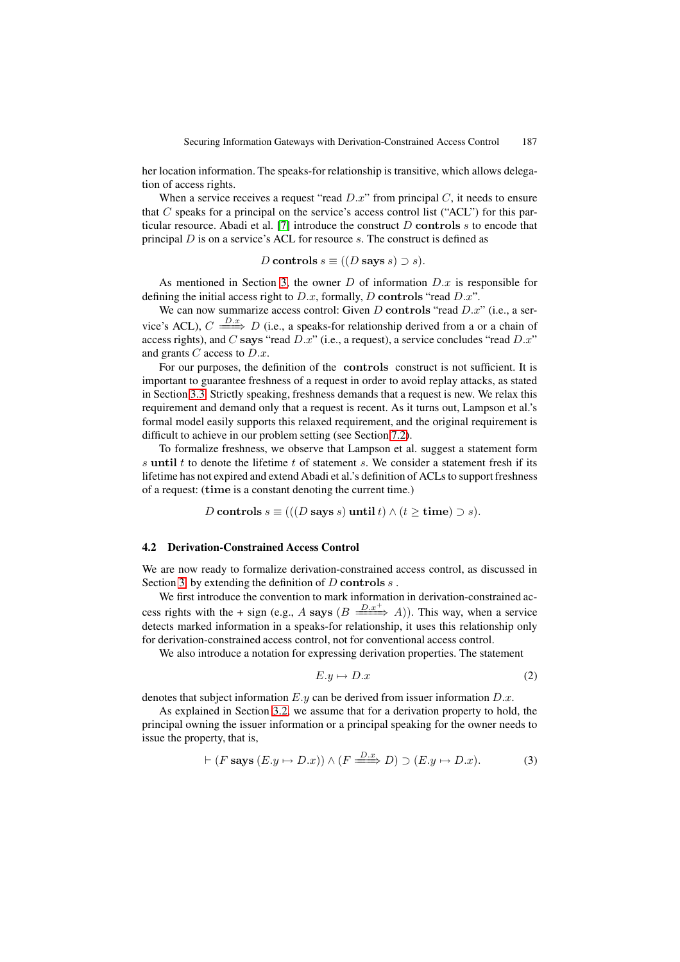her location information. The speaks-for relationship is transitive, which allows delegation of access rights.

When a service receives a request "read  $D.x$ " from principal  $C$ , it needs to ensure that  $C$  speaks for a principal on the service's access control list ("ACL") for this particular resource. Abadi et al. [\[7\]](#page-14-7) introduce the construct D **controls** s to encode that principal  $D$  is on a service's ACL for resource  $s$ . The construct is defined as

D controls 
$$
s \equiv ((D \text{ says } s) \supset s).
$$

As mentioned in Section [3,](#page-2-0) the owner  $D$  of information  $D.x$  is responsible for defining the initial access right to D.x, formally, D **controls** "read D.x".

We can now summarize access control: Given D **controls** "read D.x" (i.e., a service's ACL),  $C \xrightarrow{D.x} D$  (i.e., a speaks-for relationship derived from a or a chain of access rights), and C **says** "read D.x" (i.e., a request), a service concludes "read D.x" and grants  $C$  access to  $D.x$ .

For our purposes, the definition of the **controls** construct is not sufficient. It is important to guarantee freshness of a request in order to avoid replay attacks, as stated in Section [3.3.](#page-4-1) Strictly speaking, freshness demands that a request is new. We relax this requirement and demand only that a request is recent. As it turns out, Lampson et al.'s formal model easily supports this relaxed requirement, and the original requirement is difficult to achieve in our problem setting (see Section [7.2\)](#page-10-1).

To formalize freshness, we observe that Lampson et al. suggest a statement form s **until** t to denote the lifetime t of statement s. We consider a statement fresh if its lifetime has not expired and extend Abadi et al.'s definition of ACLs to support freshness of a request: (**time** is a constant denoting the current time.)

D controls 
$$
s \equiv (((D \text{ says } s) \text{ until } t) \land (t \ge \text{time}) \supset s).
$$

#### <span id="page-6-2"></span><span id="page-6-0"></span>**4.2 Derivation-Constrained Access Control**

We are now ready to formalize derivation-constrained access control, as discussed in Section [3,](#page-2-0) by extending the definition of D **controls** s .

We first introduce the convention to mark information in derivation-constrained access rights with the + sign (e.g., A says  $(B \xrightarrow{D.x^+} A)$ ). This way, when a service detects marked information in a speaks-for relationship, it uses this relationship only for derivation-constrained access control, not for conventional access control.

We also introduce a notation for expressing derivation properties. The statement

$$
E.y \mapsto D.x \tag{2}
$$

denotes that subject information  $E.y$  can be derived from issuer information  $D.x$ .

<span id="page-6-1"></span>As explained in Section [3.2,](#page-3-2) we assume that for a derivation property to hold, the principal owning the issuer information or a principal speaking for the owner needs to issue the property, that is,

$$
\vdash (F \text{ says } (E.y \mapsto D.x)) \land (F \xrightarrow{D.x} D) \supset (E.y \mapsto D.x). \tag{3}
$$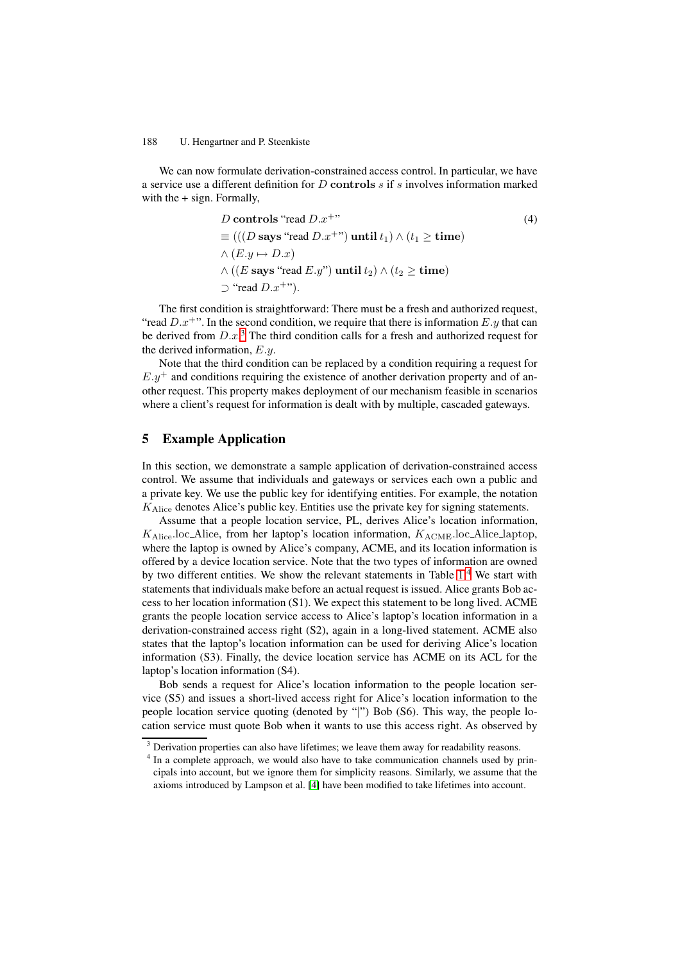<span id="page-7-3"></span>We can now formulate derivation-constrained access control. In particular, we have a service use a different definition for D **controls** s if s involves information marked with the  $+$  sign. Formally,

$$
D \text{ controls "read } D.x^{+}
$$
  
\n
$$
\equiv (((D \text{ says "read } D.x^{+}) \text{ until } t_1) \land (t_1 \ge \text{time})
$$
  
\n
$$
\land (E.y \mapsto D.x)
$$
  
\n
$$
\land ((E \text{ says "read } E.y") \text{ until } t_2) \land (t_2 \ge \text{time})
$$
  
\n
$$
\supset \text{``read } D.x^{+}
$$

The first condition is straightforward: There must be a fresh and authorized request, "read  $D.x^{+}$ ". In the second condition, we require that there is information E.y that can be derived from  $D.x$ <sup>[3](#page-7-1)</sup>. The third condition calls for a fresh and authorized request for the derived information, E.y.

Note that the third condition can be replaced by a condition requiring a request for  $E.y^+$  and conditions requiring the existence of another derivation property and of another request. This property makes deployment of our mechanism feasible in scenarios where a client's request for information is dealt with by multiple, cascaded gateways.

### <span id="page-7-0"></span>**5 Example Application**

In this section, we demonstrate a sample application of derivation-constrained access control. We assume that individuals and gateways or services each own a public and a private key. We use the public key for identifying entities. For example, the notation  $K_{\text{Alice}}$  denotes Alice's public key. Entities use the private key for signing statements.

Assume that a people location service, PL, derives Alice's location information,  $K_{\text{Alice}}$ loc Alice, from her laptop's location information,  $K_{\text{ACME}}$ loc Alice laptop, where the laptop is owned by Alice's company, ACME, and its location information is offered by a device location service. Note that the two types of information are owned by two different entities. We show the relevant statements in Table [1.](#page-8-0)[4](#page-7-2) We start with statements that individuals make before an actual request is issued. Alice grants Bob access to her location information (S1). We expect this statement to be long lived. ACME grants the people location service access to Alice's laptop's location information in a derivation-constrained access right (S2), again in a long-lived statement. ACME also states that the laptop's location information can be used for deriving Alice's location information (S3). Finally, the device location service has ACME on its ACL for the laptop's location information (S4).

Bob sends a request for Alice's location information to the people location service (S5) and issues a short-lived access right for Alice's location information to the people location service quoting (denoted by "|") Bob (S6). This way, the people location service must quote Bob when it wants to use this access right. As observed by

<sup>&</sup>lt;sup>3</sup> Derivation properties can also have lifetimes; we leave them away for readability reasons.

<span id="page-7-2"></span><span id="page-7-1"></span><sup>&</sup>lt;sup>4</sup> In a complete approach, we would also have to take communication channels used by principals into account, but we ignore them for simplicity reasons. Similarly, we assume that the axioms introduced by Lampson et al. [\[4\]](#page-14-4) have been modified to take lifetimes into account.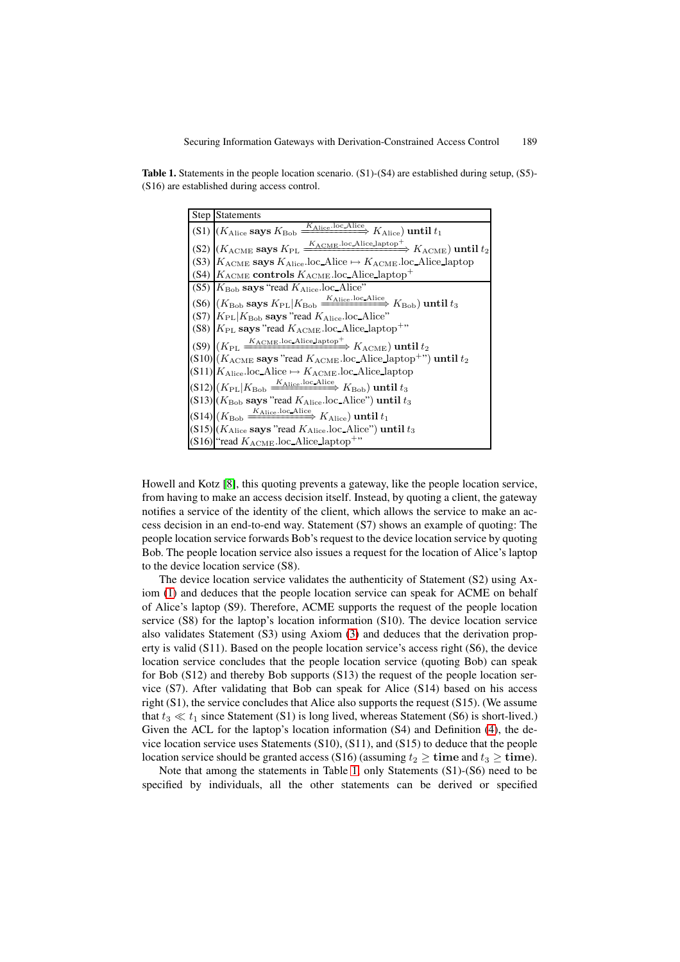<span id="page-8-0"></span>**Table 1.** Statements in the people location scenario. (S1)-(S4) are established during setup. (S5)-(S16) are established during access control.

| <b>Step Statements</b>                                                                                                                        |
|-----------------------------------------------------------------------------------------------------------------------------------------------|
| (S1) $(K_{\text{Alice}}$ says $K_{\text{Bob}} \xrightarrow{K_{\text{Alice}} \text{loc}\text{Alice}} K_{\text{Alice}}$ until $t_1$             |
| (S2) $(K_{\text{ACME}}$ says $K_{\text{PL}} \xrightarrow{K_{\text{ACME}}.\text{loc}\text{Alice}\text{Laptop}^+} K_{\text{ACME}})$ until $t_2$ |
| (S3) $K_{\text{ACME}}$ says $K_{\text{Alice}}$ loc_Alice $\mapsto K_{\text{ACME}}$ loc_Alice_laptop                                           |
| (S4) $K_{\text{ACME}}$ controls $K_{\text{ACME}}$ .loc_Alice_laptop <sup>+</sup>                                                              |
| (S5) $K_{\text{Bob}}$ says "read $K_{\text{Alice}}$ .loc_Alice"                                                                               |
| (S6) $(K_{\text{Bob}}$ says $K_{\text{PL}} K_{\text{Bob}} \xrightarrow{K_{\text{Alice-loc}} \text{Alice}} K_{\text{Bob}})$ until $t_3$        |
| (S7) $K_{\rm PL}$ $K_{\rm Bob}$ says "read $K_{\rm Alice}$ loc_Alice"                                                                         |
| $(S8)$ $K_{PL}$ says "read $K_{ACME}$ loc_Alice_laptop <sup>+</sup> "                                                                         |
| (S9) $(K_{\rm PL} \xrightarrow{K_{\rm ACME}.\rm loc\text{-}Alice\text{-}laptop^+} K_{\rm ACME})$ until $t_2$                                  |
| $(S10)$ ( $K_{\text{ACME}}$ says "read $K_{\text{ACME}}$ .loc_Alice_laptop <sup>+</sup> ") until $t_2$                                        |
| $(S11)$ $K_{\text{Alice}}$ loc Alice $\mapsto K_{\text{ACME}}$ loc Alice laptop                                                               |
| $ S(512) $ $(K_{\rm PL} K_{\rm Bob} \xrightarrow{K_{\rm Alice}.\rm loc\text{-}Alice} K_{\rm Bob})$ until $t_3$                                |
| $(S13)$ ( $K_{\text{Bob}}$ says "read $K_{\text{Alice}}$ loc_Alice") until $t_3$                                                              |
| $(S14)$ $(K_{\text{Bob}} \xrightarrow{K_{\text{Alice}.\text{loc}\text{-} \text{Alice}} K_{\text{Alice}})$ until $t_1$                         |
| $(S15)$ ( <i>K</i> <sub>Alice</sub> says "read <i>K</i> <sub>Alice</sub> .loc_Alice") until $t_3$                                             |
| $(S16)$ "read $K_{ACME}$ loc_Alice_laptop <sup>+</sup> "                                                                                      |

Howell and Kotz [\[8\]](#page-14-8), this quoting prevents a gateway, like the people location service, from having to make an access decision itself. Instead, by quoting a client, the gateway notifies a service of the identity of the client, which allows the service to make an access decision in an end-to-end way. Statement (S7) shows an example of quoting: The people location service forwards Bob's request to the device location service by quoting Bob. The people location service also issues a request for the location of Alice's laptop to the device location service (S8).

The device location service validates the authenticity of Statement (S2) using Axiom [\(1\)](#page-5-1) and deduces that the people location service can speak for ACME on behalf of Alice's laptop (S9). Therefore, ACME supports the request of the people location service (S8) for the laptop's location information (S10). The device location service also validates Statement (S3) using Axiom [\(3\)](#page-6-1) and deduces that the derivation property is valid (S11). Based on the people location service's access right (S6), the device location service concludes that the people location service (quoting Bob) can speak for Bob (S12) and thereby Bob supports (S13) the request of the people location service (S7). After validating that Bob can speak for Alice (S14) based on his access right (S1), the service concludes that Alice also supports the request (S15). (We assume that  $t_3 \ll t_1$  since Statement (S1) is long lived, whereas Statement (S6) is short-lived.) Given the ACL for the laptop's location information (S4) and Definition [\(4\)](#page-7-3), the device location service uses Statements (S10), (S11), and (S15) to deduce that the people location service should be granted access (S16) (assuming  $t_2 \geq$  **time** and  $t_3 \geq$  **time**).

Note that among the statements in Table [1,](#page-8-0) only Statements (S1)-(S6) need to be specified by individuals, all the other statements can be derived or specified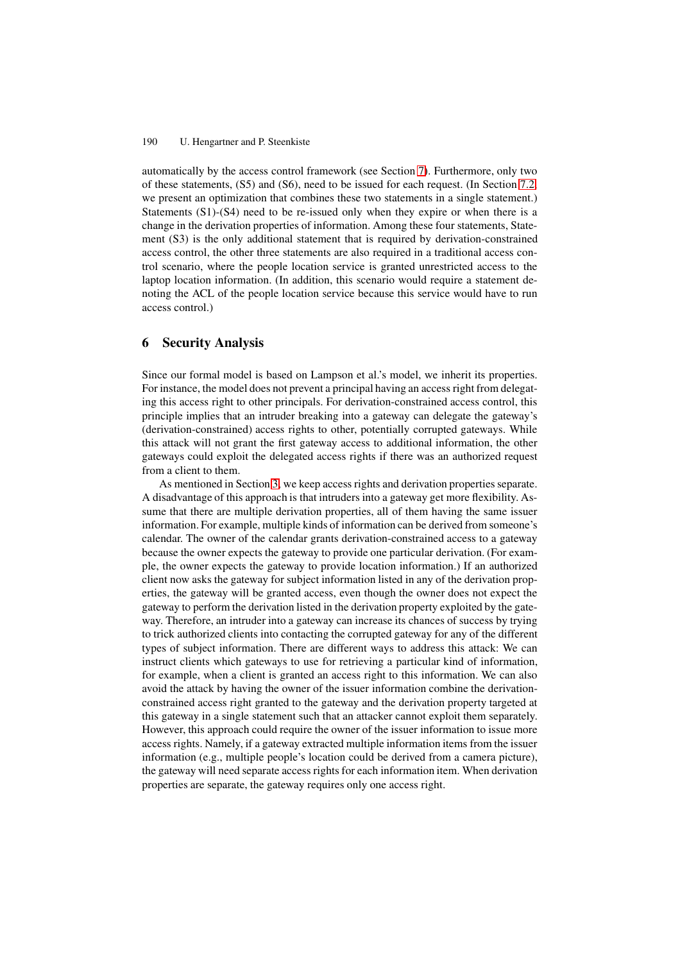automatically by the access control framework (see Section [7\)](#page-10-0). Furthermore, only two of these statements, (S5) and (S6), need to be issued for each request. (In Section [7.2,](#page-10-1) we present an optimization that combines these two statements in a single statement.) Statements (S1)-(S4) need to be re-issued only when they expire or when there is a change in the derivation properties of information. Among these four statements, Statement (S3) is the only additional statement that is required by derivation-constrained access control, the other three statements are also required in a traditional access control scenario, where the people location service is granted unrestricted access to the laptop location information. (In addition, this scenario would require a statement denoting the ACL of the people location service because this service would have to run access control.)

### <span id="page-9-0"></span>**6 Security Analysis**

Since our formal model is based on Lampson et al.'s model, we inherit its properties. For instance, the model does not prevent a principal having an access right from delegating this access right to other principals. For derivation-constrained access control, this principle implies that an intruder breaking into a gateway can delegate the gateway's (derivation-constrained) access rights to other, potentially corrupted gateways. While this attack will not grant the first gateway access to additional information, the other gateways could exploit the delegated access rights if there was an authorized request from a client to them.

As mentioned in Section [3,](#page-2-0) we keep access rights and derivation properties separate. A disadvantage of this approach is that intruders into a gateway get more flexibility. Assume that there are multiple derivation properties, all of them having the same issuer information. For example, multiple kinds of information can be derived from someone's calendar. The owner of the calendar grants derivation-constrained access to a gateway because the owner expects the gateway to provide one particular derivation. (For example, the owner expects the gateway to provide location information.) If an authorized client now asks the gateway for subject information listed in any of the derivation properties, the gateway will be granted access, even though the owner does not expect the gateway to perform the derivation listed in the derivation property exploited by the gateway. Therefore, an intruder into a gateway can increase its chances of success by trying to trick authorized clients into contacting the corrupted gateway for any of the different types of subject information. There are different ways to address this attack: We can instruct clients which gateways to use for retrieving a particular kind of information, for example, when a client is granted an access right to this information. We can also avoid the attack by having the owner of the issuer information combine the derivationconstrained access right granted to the gateway and the derivation property targeted at this gateway in a single statement such that an attacker cannot exploit them separately. However, this approach could require the owner of the issuer information to issue more access rights. Namely, if a gateway extracted multiple information items from the issuer information (e.g., multiple people's location could be derived from a camera picture), the gateway will need separate access rights for each information item. When derivation properties are separate, the gateway requires only one access right.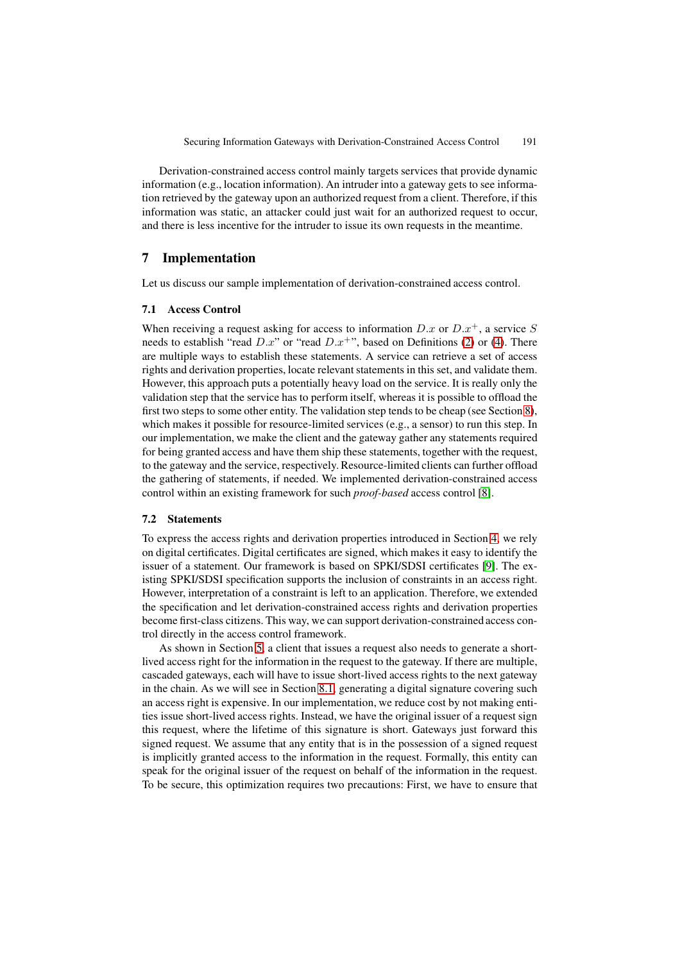Derivation-constrained access control mainly targets services that provide dynamic information (e.g., location information). An intruder into a gateway gets to see information retrieved by the gateway upon an authorized request from a client. Therefore, if this information was static, an attacker could just wait for an authorized request to occur, and there is less incentive for the intruder to issue its own requests in the meantime.

### <span id="page-10-0"></span>**7 Implementation**

<span id="page-10-2"></span>Let us discuss our sample implementation of derivation-constrained access control.

#### **7.1 Access Control**

When receiving a request asking for access to information  $D.x$  or  $D.x^+$ , a service S needs to establish "read  $D.x$ " or "read  $D.x^{+}$ ", based on Definitions [\(2\)](#page-6-2) or [\(4\)](#page-7-3). There are multiple ways to establish these statements. A service can retrieve a set of access rights and derivation properties, locate relevant statements in this set, and validate them. However, this approach puts a potentially heavy load on the service. It is really only the validation step that the service has to perform itself, whereas it is possible to offload the first two steps to some other entity. The validation step tends to be cheap (see Section [8\)](#page-11-0), which makes it possible for resource-limited services (e.g., a sensor) to run this step. In our implementation, we make the client and the gateway gather any statements required for being granted access and have them ship these statements, together with the request, to the gateway and the service, respectively. Resource-limited clients can further offload the gathering of statements, if needed. We implemented derivation-constrained access control within an existing framework for such *proof-based* access control [\[8\]](#page-14-8).

### <span id="page-10-1"></span>**7.2 Statements**

To express the access rights and derivation properties introduced in Section [4,](#page-5-0) we rely on digital certificates. Digital certificates are signed, which makes it easy to identify the issuer of a statement. Our framework is based on SPKI/SDSI certificates [\[9\]](#page-14-9). The existing SPKI/SDSI specification supports the inclusion of constraints in an access right. However, interpretation of a constraint is left to an application. Therefore, we extended the specification and let derivation-constrained access rights and derivation properties become first-class citizens. This way, we can support derivation-constrained access control directly in the access control framework.

As shown in Section [5,](#page-7-0) a client that issues a request also needs to generate a shortlived access right for the information in the request to the gateway. If there are multiple, cascaded gateways, each will have to issue short-lived access rights to the next gateway in the chain. As we will see in Section [8.1,](#page-11-1) generating a digital signature covering such an access right is expensive. In our implementation, we reduce cost by not making entities issue short-lived access rights. Instead, we have the original issuer of a request sign this request, where the lifetime of this signature is short. Gateways just forward this signed request. We assume that any entity that is in the possession of a signed request is implicitly granted access to the information in the request. Formally, this entity can speak for the original issuer of the request on behalf of the information in the request. To be secure, this optimization requires two precautions: First, we have to ensure that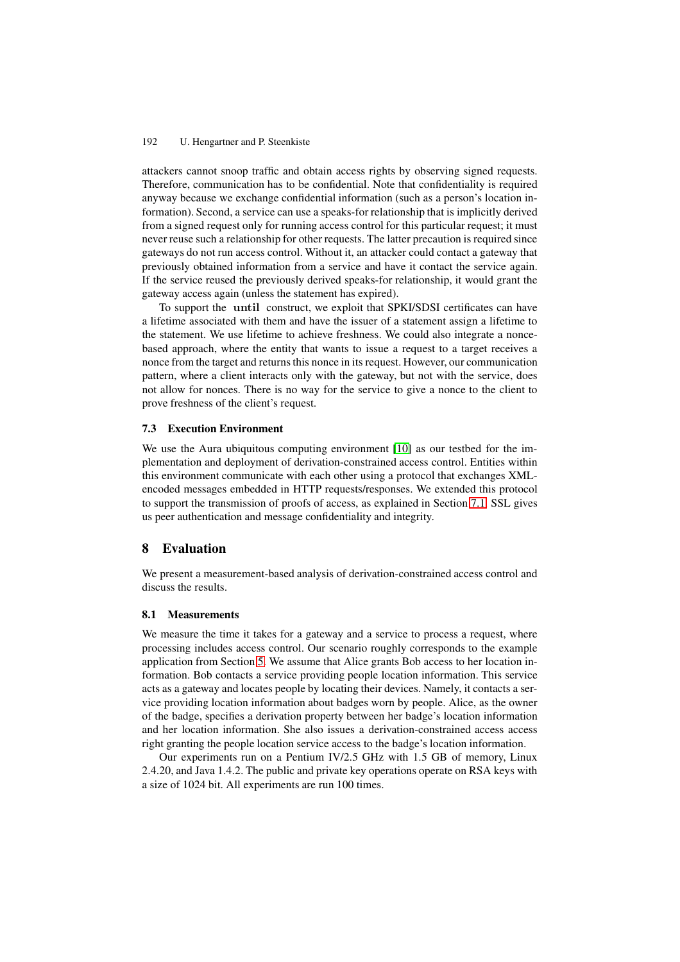attackers cannot snoop traffic and obtain access rights by observing signed requests. Therefore, communication has to be confidential. Note that confidentiality is required anyway because we exchange confidential information (such as a person's location information). Second, a service can use a speaks-for relationship that is implicitly derived from a signed request only for running access control for this particular request; it must never reuse such a relationship for other requests. The latter precaution is required since gateways do not run access control. Without it, an attacker could contact a gateway that previously obtained information from a service and have it contact the service again. If the service reused the previously derived speaks-for relationship, it would grant the gateway access again (unless the statement has expired).

To support the **until** construct, we exploit that SPKI/SDSI certificates can have a lifetime associated with them and have the issuer of a statement assign a lifetime to the statement. We use lifetime to achieve freshness. We could also integrate a noncebased approach, where the entity that wants to issue a request to a target receives a nonce from the target and returns this nonce in its request. However, our communication pattern, where a client interacts only with the gateway, but not with the service, does not allow for nonces. There is no way for the service to give a nonce to the client to prove freshness of the client's request.

### **7.3 Execution Environment**

We use the Aura ubiquitous computing environment [\[10\]](#page-14-10) as our testbed for the implementation and deployment of derivation-constrained access control. Entities within this environment communicate with each other using a protocol that exchanges XMLencoded messages embedded in HTTP requests/responses. We extended this protocol to support the transmission of proofs of access, as explained in Section [7.1.](#page-10-2) SSL gives us peer authentication and message confidentiality and integrity.

### <span id="page-11-0"></span>**8 Evaluation**

We present a measurement-based analysis of derivation-constrained access control and discuss the results.

#### <span id="page-11-1"></span>**8.1 Measurements**

We measure the time it takes for a gateway and a service to process a request, where processing includes access control. Our scenario roughly corresponds to the example application from Section [5.](#page-7-0) We assume that Alice grants Bob access to her location information. Bob contacts a service providing people location information. This service acts as a gateway and locates people by locating their devices. Namely, it contacts a service providing location information about badges worn by people. Alice, as the owner of the badge, specifies a derivation property between her badge's location information and her location information. She also issues a derivation-constrained access access right granting the people location service access to the badge's location information.

Our experiments run on a Pentium IV/2.5 GHz with 1.5 GB of memory, Linux 2.4.20, and Java 1.4.2. The public and private key operations operate on RSA keys with a size of 1024 bit. All experiments are run 100 times.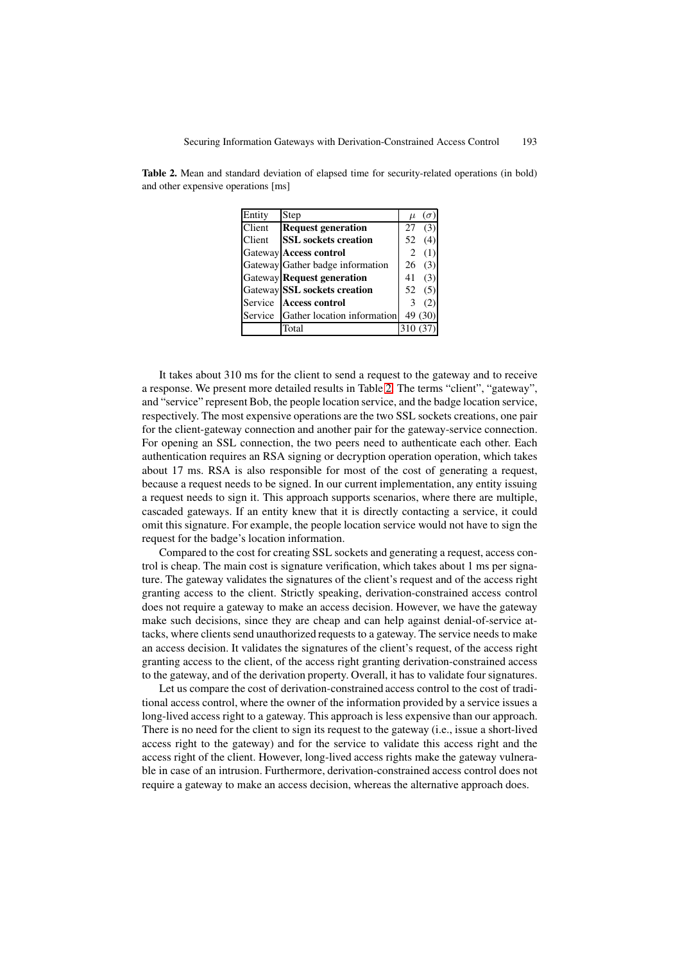| Entity  | Step                              | $\mu$ | $(\sigma)$ |
|---------|-----------------------------------|-------|------------|
| Client  | <b>Request generation</b>         | 27    | (3)        |
| Client  | <b>SSL</b> sockets creation       | 52    | (4)        |
|         | Gateway Access control            |       | (1)        |
|         | Gateway Gather badge information  | 26    | (3)        |
|         | Gateway <b>Request generation</b> | 41    | (3)        |
|         | Gateway SSL sockets creation      | 52    | (5)        |
| Service | <b>Access control</b>             |       | (2)        |
| Service | Gather location information       |       | 49 (30)    |
|         | Total                             |       |            |

<span id="page-12-0"></span>**Table 2.** Mean and standard deviation of elapsed time for security-related operations (in bold) and other expensive operations [ms]

It takes about 310 ms for the client to send a request to the gateway and to receive a response. We present more detailed results in Table [2.](#page-12-0) The terms "client", "gateway", and "service" represent Bob, the people location service, and the badge location service, respectively. The most expensive operations are the two SSL sockets creations, one pair for the client-gateway connection and another pair for the gateway-service connection. For opening an SSL connection, the two peers need to authenticate each other. Each authentication requires an RSA signing or decryption operation operation, which takes about 17 ms. RSA is also responsible for most of the cost of generating a request, because a request needs to be signed. In our current implementation, any entity issuing a request needs to sign it. This approach supports scenarios, where there are multiple, cascaded gateways. If an entity knew that it is directly contacting a service, it could omit this signature. For example, the people location service would not have to sign the request for the badge's location information.

Compared to the cost for creating SSL sockets and generating a request, access control is cheap. The main cost is signature verification, which takes about 1 ms per signature. The gateway validates the signatures of the client's request and of the access right granting access to the client. Strictly speaking, derivation-constrained access control does not require a gateway to make an access decision. However, we have the gateway make such decisions, since they are cheap and can help against denial-of-service attacks, where clients send unauthorized requests to a gateway. The service needs to make an access decision. It validates the signatures of the client's request, of the access right granting access to the client, of the access right granting derivation-constrained access to the gateway, and of the derivation property. Overall, it has to validate four signatures.

Let us compare the cost of derivation-constrained access control to the cost of traditional access control, where the owner of the information provided by a service issues a long-lived access right to a gateway. This approach is less expensive than our approach. There is no need for the client to sign its request to the gateway (i.e., issue a short-lived access right to the gateway) and for the service to validate this access right and the access right of the client. However, long-lived access rights make the gateway vulnerable in case of an intrusion. Furthermore, derivation-constrained access control does not require a gateway to make an access decision, whereas the alternative approach does.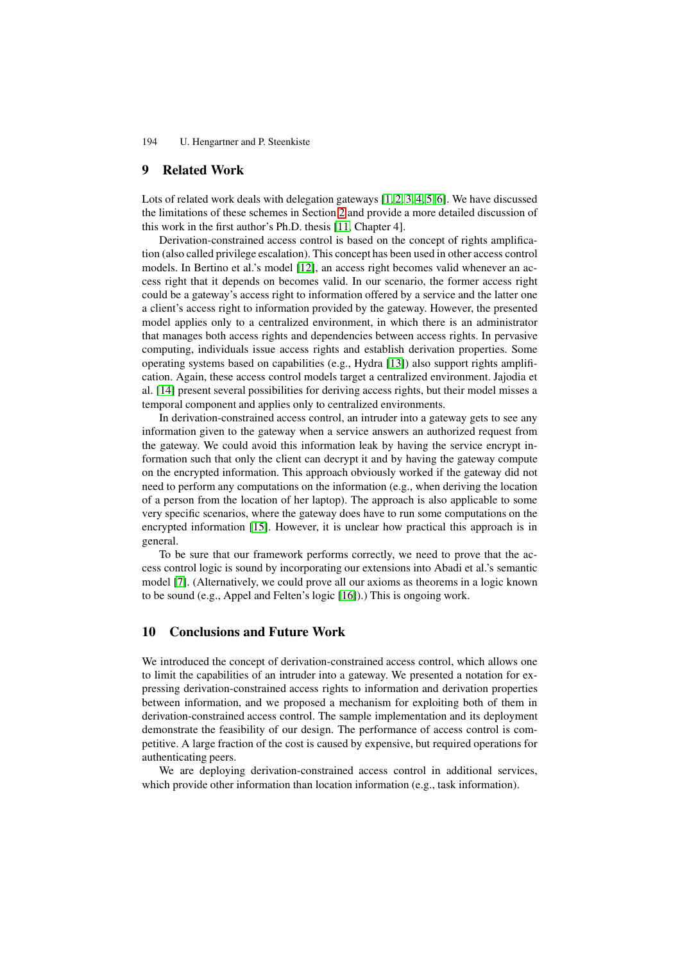# <span id="page-13-0"></span>**9 Related Work**

Lots of related work deals with delegation gateways [\[1,](#page-14-1) [2,](#page-14-2) [3,](#page-14-3) [4,](#page-14-4) [5,](#page-14-5) [6\]](#page-14-6). We have discussed the limitations of these schemes in Section [2](#page-1-1) and provide a more detailed discussion of this work in the first author's Ph.D. thesis [\[11,](#page-14-11) Chapter 4].

Derivation-constrained access control is based on the concept of rights amplification (also called privilege escalation). This concept has been used in other access control models. In Bertino et al.'s model [\[12\]](#page-14-12), an access right becomes valid whenever an access right that it depends on becomes valid. In our scenario, the former access right could be a gateway's access right to information offered by a service and the latter one a client's access right to information provided by the gateway. However, the presented model applies only to a centralized environment, in which there is an administrator that manages both access rights and dependencies between access rights. In pervasive computing, individuals issue access rights and establish derivation properties. Some operating systems based on capabilities (e.g., Hydra [\[13\]](#page-14-13)) also support rights amplification. Again, these access control models target a centralized environment. Jajodia et al. [\[14\]](#page-14-14) present several possibilities for deriving access rights, but their model misses a temporal component and applies only to centralized environments.

In derivation-constrained access control, an intruder into a gateway gets to see any information given to the gateway when a service answers an authorized request from the gateway. We could avoid this information leak by having the service encrypt information such that only the client can decrypt it and by having the gateway compute on the encrypted information. This approach obviously worked if the gateway did not need to perform any computations on the information (e.g., when deriving the location of a person from the location of her laptop). The approach is also applicable to some very specific scenarios, where the gateway does have to run some computations on the encrypted information [\[15\]](#page-14-15). However, it is unclear how practical this approach is in general.

To be sure that our framework performs correctly, we need to prove that the access control logic is sound by incorporating our extensions into Abadi et al.'s semantic model [\[7\]](#page-14-7). (Alternatively, we could prove all our axioms as theorems in a logic known to be sound (e.g., Appel and Felten's logic [\[16\]](#page-14-16)).) This is ongoing work.

# **10 Conclusions and Future Work**

We introduced the concept of derivation-constrained access control, which allows one to limit the capabilities of an intruder into a gateway. We presented a notation for expressing derivation-constrained access rights to information and derivation properties between information, and we proposed a mechanism for exploiting both of them in derivation-constrained access control. The sample implementation and its deployment demonstrate the feasibility of our design. The performance of access control is competitive. A large fraction of the cost is caused by expensive, but required operations for authenticating peers.

We are deploying derivation-constrained access control in additional services, which provide other information than location information (e.g., task information).